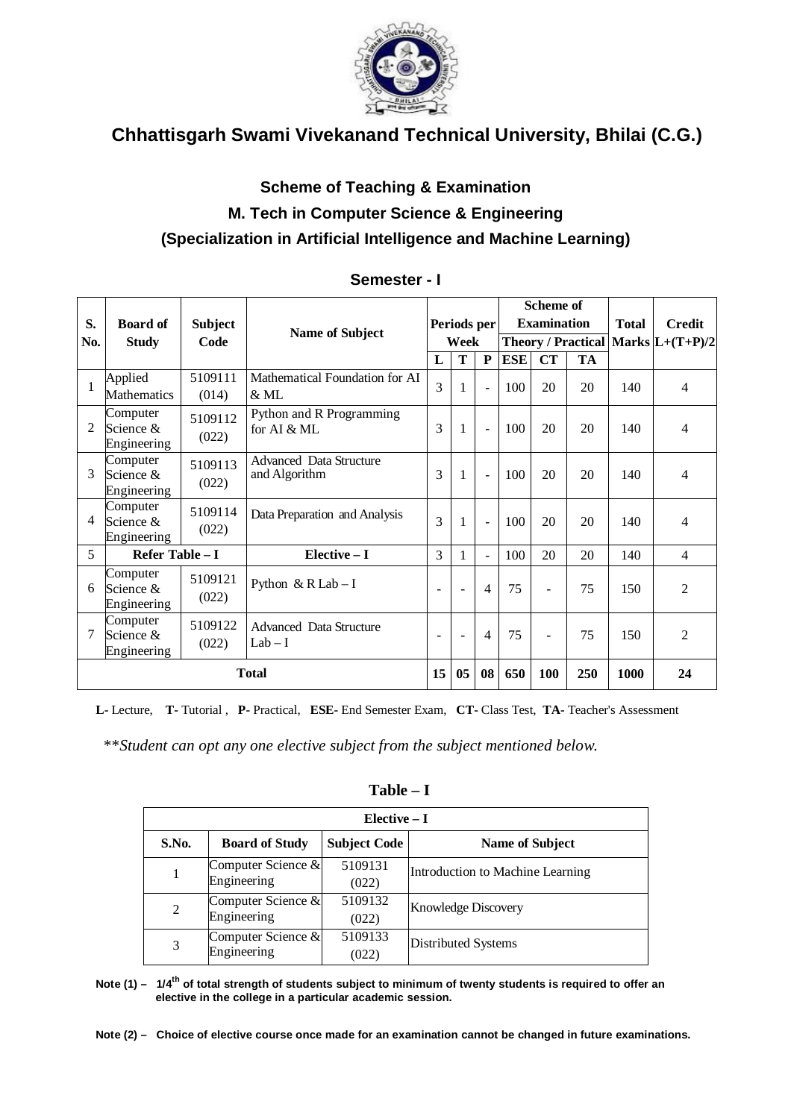

## **Scheme of Teaching & Examination M. Tech in Computer Science & Engineering (Specialization in Artificial Intelligence and Machine Learning)**

| S.<br>No. | <b>Board of</b><br><b>Study</b>      | <b>Subject</b><br>Code | <b>Name of Subject</b>                          | Periods per<br>Week      |        | <b>Scheme of</b><br><b>Examination</b><br>Theory / Practical   Marks $ L+(T+P)/2 $ |            | <b>Total</b>             | <b>Credit</b> |      |                |
|-----------|--------------------------------------|------------------------|-------------------------------------------------|--------------------------|--------|------------------------------------------------------------------------------------|------------|--------------------------|---------------|------|----------------|
|           |                                      |                        |                                                 | L                        | T      | $\mathbf{P}$                                                                       | <b>ESE</b> | <b>CT</b>                | <b>TA</b>     |      |                |
|           | Applied<br>Mathematics               | 5109111<br>(014)       | Mathematical Foundation for AI<br>$&$ ML        | $\overline{3}$           |        | $\sim$                                                                             | 100        | 20                       | 20            | 140  | $\overline{4}$ |
| 2         | Computer<br>Science &<br>Engineering | 5109112<br>(022)       | Python and R Programming<br>for AI & ML         | 3                        | 1      | $\sim$                                                                             | 100        | 20                       | 20            | 140  | 4              |
| 3         | Computer<br>Science &<br>Engineering | 5109113<br>(022)       | <b>Advanced Data Structure</b><br>and Algorithm | 3                        | 1      | $\sim$                                                                             | 100        | 20                       | 20            | 140  | $\overline{4}$ |
| 4         | Computer<br>Science &<br>Engineering | 5109114<br>(022)       | Data Preparation and Analysis                   | 3                        | 1      | $\sim$                                                                             | 100        | 20                       | 20            | 140  | 4              |
| 5         | Refer Table - I                      |                        | Elective - I                                    | 3                        | 1      | $\sim$                                                                             | 100        | 20                       | 20            | 140  | $\overline{4}$ |
| 6         | Computer<br>Science &<br>Engineering | 5109121<br>(022)       | Python & $R$ Lab - I                            | $\overline{\phantom{a}}$ | $\sim$ | $\overline{4}$                                                                     | 75         | $\overline{\phantom{a}}$ | 75            | 150  | $\overline{c}$ |
| 7         | Computer<br>Science &<br>Engineering | 5109122<br>(022)       | <b>Advanced Data Structure</b><br>$Lab-I$       |                          |        | $\overline{4}$                                                                     | 75         |                          | 75            | 150  | $\overline{c}$ |
|           | <b>Total</b>                         |                        |                                                 | 15                       | 05     | 08                                                                                 | 650        | 100                      | 250           | 1000 | 24             |

### **Semester - I**

**L-** Lecture, **T-** Tutorial , **P-** Practical, **ESE-** End Semester Exam, **CT-** Class Test, **TA-** Teacher's Assessment

\*\**Student can opt any one elective subject from the subject mentioned below.*

| Elective $-I$ |                                              |         |                                  |  |  |  |  |  |
|---------------|----------------------------------------------|---------|----------------------------------|--|--|--|--|--|
| S.No.         | <b>Subject Code</b><br><b>Board of Study</b> |         | <b>Name of Subject</b>           |  |  |  |  |  |
|               | Computer Science &                           | 5109131 | Introduction to Machine Learning |  |  |  |  |  |
|               | Engineering                                  | (022)   |                                  |  |  |  |  |  |
| 2             | Computer Science &                           | 5109132 | <b>Knowledge Discovery</b>       |  |  |  |  |  |
|               | Engineering                                  | (022)   |                                  |  |  |  |  |  |
|               | Computer Science &                           | 5109133 | Distributed Systems              |  |  |  |  |  |
| 3             | Engineering                                  | (022)   |                                  |  |  |  |  |  |

**Table – I**

**Note (1) – 1/4th of total strength of students subject to minimum of twenty students is required to offer an elective in the college in a particular academic session.**

**Note (2) – Choice of elective course once made for an examination cannot be changed in future examinations.**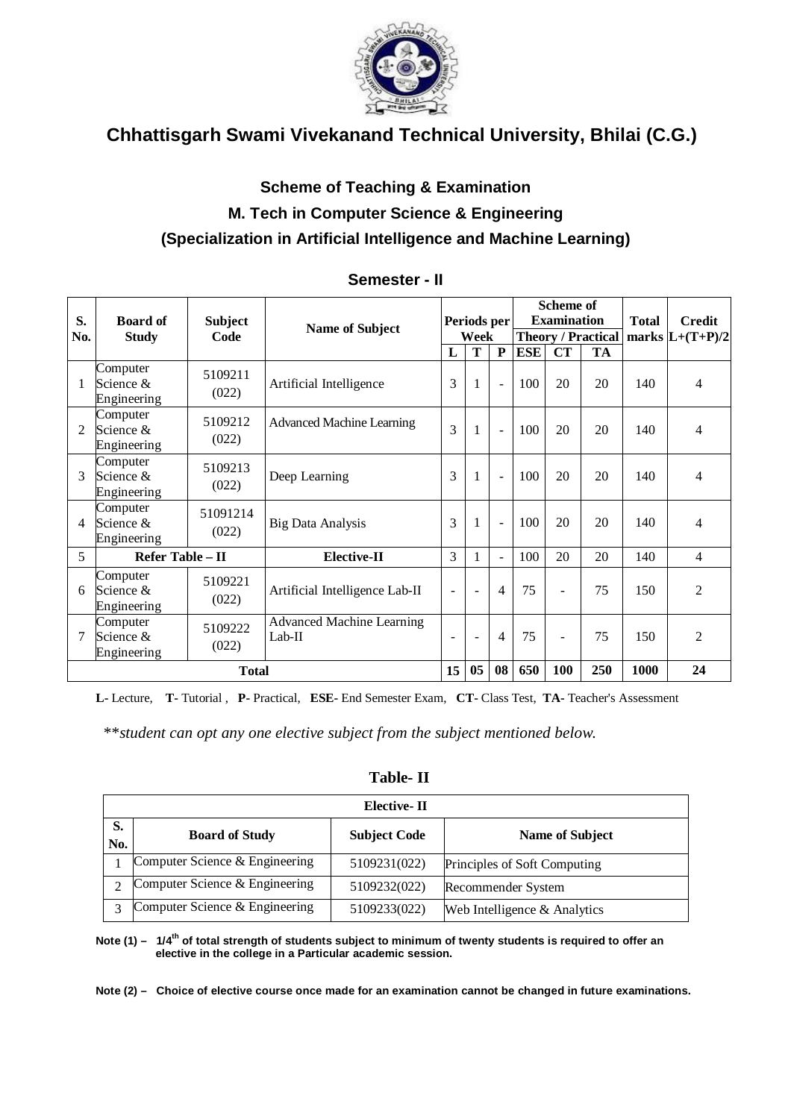

## **Scheme of Teaching & Examination M. Tech in Computer Science & Engineering (Specialization in Artificial Intelligence and Machine Learning)**

| S.             | <b>Board of</b>                      | <b>Subject</b>    |                                              | Periods per              |                          | <b>Scheme of</b><br><b>Examination</b> |            |                          | <b>Total</b>              | <b>Credit</b> |                          |
|----------------|--------------------------------------|-------------------|----------------------------------------------|--------------------------|--------------------------|----------------------------------------|------------|--------------------------|---------------------------|---------------|--------------------------|
| No.            | <b>Study</b>                         | Code              | <b>Name of Subject</b>                       |                          | Week                     |                                        |            |                          | <b>Theory / Practical</b> |               | marks $L+(T+P)/2$        |
|                |                                      |                   |                                              | $\mathbf{L}$             | T                        | P                                      | <b>ESE</b> | CT                       | <b>TA</b>                 |               |                          |
| 1              | Computer<br>Science &<br>Engineering | 5109211<br>(022)  | Artificial Intelligence                      | 3                        | 1                        | $\blacksquare$                         | 100        | 20                       | 20                        | 140           | 4                        |
| $\mathfrak{D}$ | Computer<br>Science &<br>Engineering | 5109212<br>(022)  | <b>Advanced Machine Learning</b>             | 3                        | $\mathbf{1}$             |                                        | 100        | 20                       | 20                        | 140           | 4                        |
| 3              | Computer<br>Science &<br>Engineering | 5109213<br>(022)  | Deep Learning                                | 3                        | $\mathbf{1}$             | $\sim$                                 | 100        | 20                       | 20                        | 140           | 4                        |
| 4              | Computer<br>Science &<br>Engineering | 51091214<br>(022) | <b>Big Data Analysis</b>                     | 3                        | $\mathbf{1}$             | $\sim$                                 | 100        | 20                       | 20                        | 140           | 4                        |
| $\overline{5}$ | Refer Table - II                     |                   | Elective-II                                  | 3                        | 1                        | $\blacksquare$                         | 100        | 20                       | 20                        | 140           | $\overline{\mathcal{L}}$ |
| 6              | Computer<br>Science &<br>Engineering | 5109221<br>(022)  | Artificial Intelligence Lab-II               | $\overline{\phantom{a}}$ | $\overline{\phantom{a}}$ | 4                                      | 75         | $\overline{\phantom{a}}$ | 75                        | 150           | $\mathfrak{D}$           |
| 7              | Computer<br>Science &<br>Engineering | 5109222<br>(022)  | <b>Advanced Machine Learning</b><br>$Lab-II$ | ÷                        | $\overline{\phantom{a}}$ | $\overline{\mathcal{A}}$               | 75         | $\overline{\phantom{a}}$ | 75                        | 150           | $\overline{2}$           |
|                |                                      | <b>Total</b>      |                                              | 15                       | 05                       | 08                                     | 650        | 100                      | 250                       | 1000          | 24                       |

### **Semester - II**

**L-** Lecture, **T-** Tutorial , **P-** Practical, **ESE-** End Semester Exam, **CT-** Class Test, **TA-** Teacher's Assessment

\*\**student can opt any one elective subject from the subject mentioned below.*

| S.<br>No. | <b>Board of Study</b>          | <b>Subject Code</b> | <b>Name of Subject</b>       |  |  |
|-----------|--------------------------------|---------------------|------------------------------|--|--|
|           | Computer Science & Engineering | 5109231(022)        | Principles of Soft Computing |  |  |
|           | Computer Science & Engineering | 5109232(022)        | Recommender System           |  |  |
|           | Computer Science & Engineering | 5109233(022)        | Web Intelligence & Analytics |  |  |

### **Table- II**

**Note (1) – 1/4th of total strength of students subject to minimum of twenty students is required to offer an elective in the college in a Particular academic session.**

**Note (2) – Choice of elective course once made for an examination cannot be changed in future examinations.**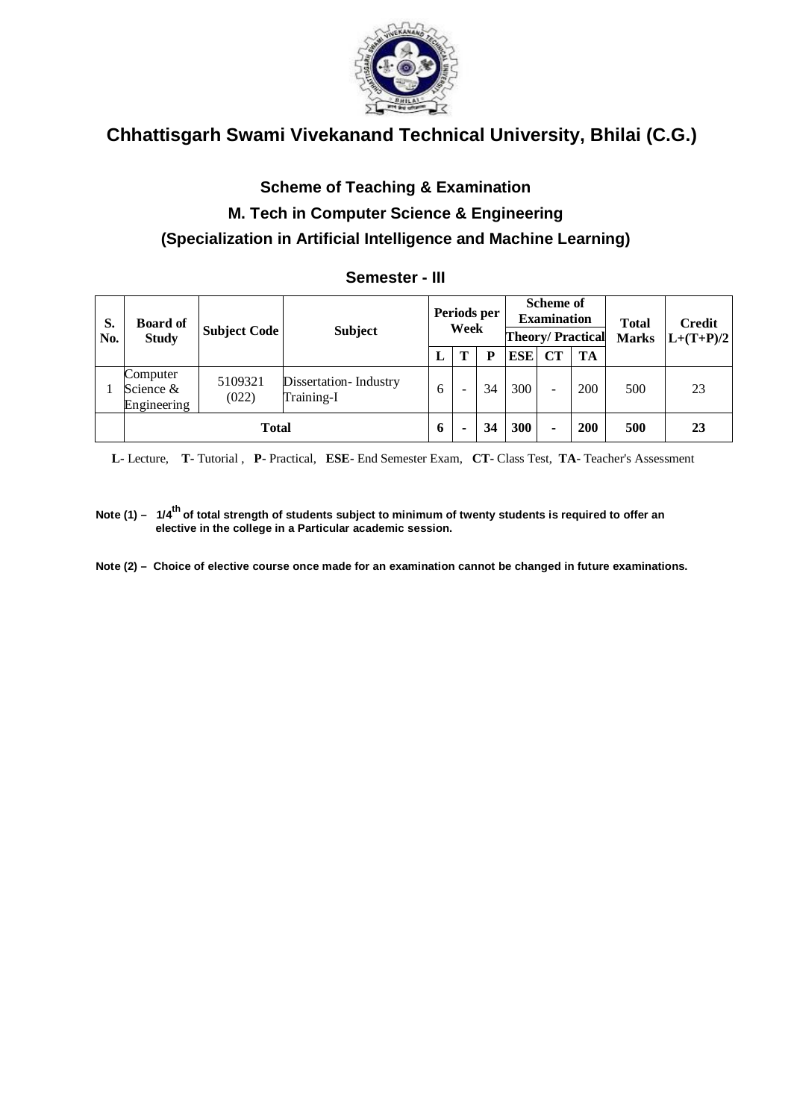

## **Scheme of Teaching & Examination M. Tech in Computer Science & Engineering (Specialization in Artificial Intelligence and Machine Learning)**

### **Semester - III**

| S.<br>No. | <b>Board of</b><br><b>Study</b>      | <b>Subject Code</b> | <b>Subject</b>                      |   | <b>Scheme of</b><br>Periods per<br><b>Examination</b><br>Week<br><b>Theory/Practical</b> |     | <b>Total</b><br><b>Marks</b> | <b>Credit</b><br>$L+(T+P)/2$ |           |     |    |
|-----------|--------------------------------------|---------------------|-------------------------------------|---|------------------------------------------------------------------------------------------|-----|------------------------------|------------------------------|-----------|-----|----|
|           |                                      |                     |                                     | L |                                                                                          | P   | <b>ESE</b>                   | CT                           | <b>TA</b> |     |    |
|           | Computer<br>Science &<br>Engineering | 5109321<br>(022)    | Dissertation-Industry<br>Training-I | 6 |                                                                                          | 34  | 300                          | -                            | 200       | 500 | 23 |
|           | <b>Total</b>                         |                     | 6                                   |   | 34                                                                                       | 300 | ٠                            | <b>200</b>                   | 500       | 23  |    |

 **L-** Lecture, **T-** Tutorial , **P-** Practical, **ESE-** End Semester Exam, **CT-** Class Test, **TA-** Teacher's Assessment

**Note (1) – 1/4th of total strength of students subject to minimum of twenty students is required to offer an elective in the college in a Particular academic session.**

**Note (2) – Choice of elective course once made for an examination cannot be changed in future examinations.**